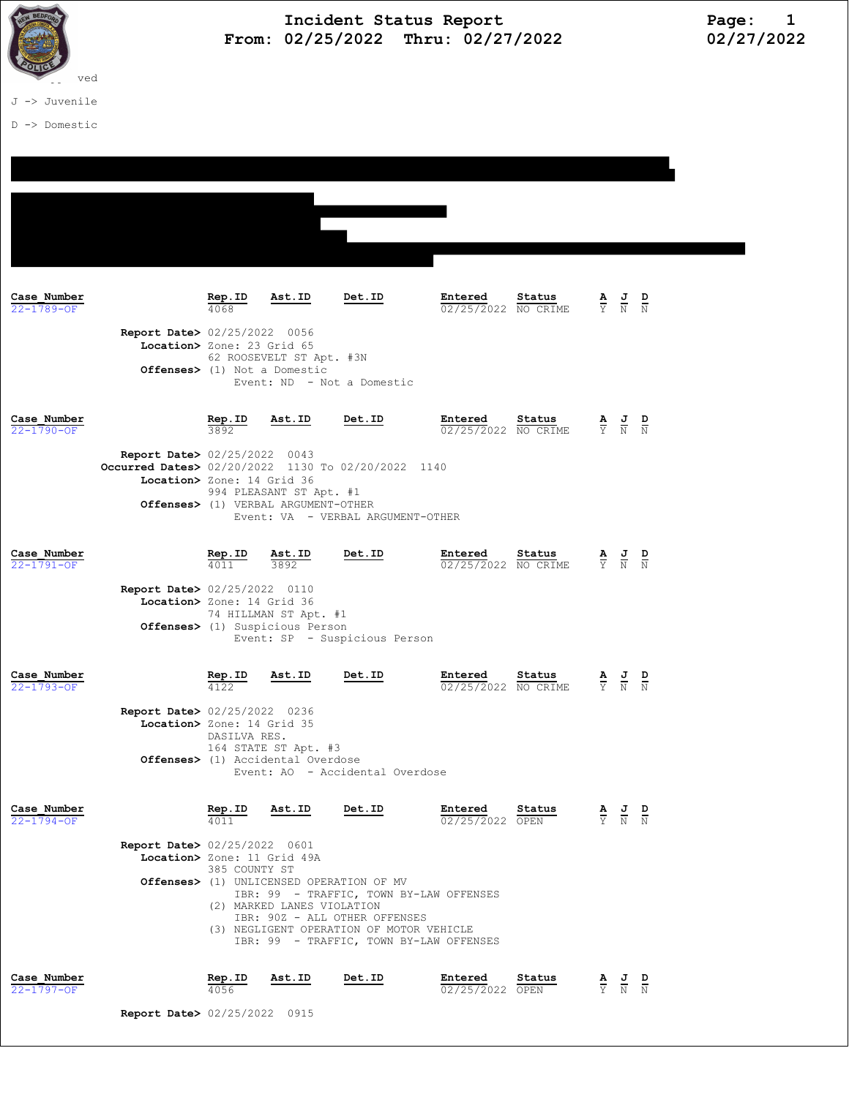

D -> Domestic

**Case\_Number Rep.ID Ast.ID Det.ID Entered Status A J D**  $\frac{72-1789-OF}{N}$  **Rep.ID Ast.ID Det.ID Entered Status A J D**  $22 - 1789 - 0F$  4068  $4068$   $4068$   $4068$   $4068$   $02/25/2022$  NO CRIME Report Date> 02/25/2022 0056 Location> Zone: 23 Grid 65 62 ROOSEVELT ST Apt. #3N Offenses> (1) Not a Domestic Event: ND - Not a Domestic Case\_Number Rep.ID Ast.ID Det.ID Entered Status A J D 22-1790-OF 3892 02/25/2022 NO CRIME Y N N Report Date> 02/25/2022 0043 **Occurred Dates>** 02/20/2022 1130 To 02/20/2022 1140 Location> Zone: 14 Grid 36 994 PLEASANT ST Apt. #1 Offenses> (1) VERBAL ARGUMENT-OTHER Event: VA - VERBAL ARGUMENT-OTHER **Case Number Rep.ID**  $\overline{A}$ **Status A J D**  $\overline{A}$  22-1791-0F **Rep.ID**  $\overline{A}$   $\overline{B}$   $\overline{C}$   $\overline{C}$   $\overline{C}$   $\overline{C}$   $\overline{C}$   $\overline{C}$   $\overline{C}$   $\overline{C}$   $\overline{C}$   $\overline{C}$   $\overline{C}$   $\overline{C}$   $\overline{C}$   $\overline{C}$   $\$  $22-1791$ -OF  $4011$   $3892$   $4011$   $3892$   $02/25/2022$  NO CRIME Report Date> 02/25/2022 0110 Location> Zone: 14 Grid 36 74 HILLMAN ST Apt. #1 Offenses> (1) Suspicious Person Event: SP - Suspicious Person **Case\_Number** Rep.ID  $\overline{R}$  Ast.ID  $\overline{D}$  Det.ID  $\overline{D}$  Entered Status A J D<br>22-1793-0F  $\overline{N}$   $\overline{N}$  $\frac{12}{122}$   $\frac{12}{122}$   $\frac{12}{122}$   $\frac{12}{122}$   $\frac{12}{122}$   $\frac{12}{122}$   $\frac{12}{122}$   $\frac{12}{122}$   $\frac{12}{122}$   $\frac{12}{122}$   $\frac{12}{122}$   $\frac{12}{122}$   $\frac{12}{122}$   $\frac{12}{122}$   $\frac{12}{122}$   $\frac{12}{122}$   $\frac{12}{122}$  Report Date> 02/25/2022 0236 Location> Zone: 14 Grid 35 DASILVA RES. 164 STATE ST Apt. #3 Offenses> (1) Accidental Overdose Event: AO - Accidental Overdose **Case Number Rep.ID Rep.ID Rep.ID Det.ID Entered Status A J D**  $\frac{22-1794-OF}{22-1794-OF}$  **Rep.**  $\frac{25}{N}$  **Rep.ID Rep.ID Det.ID Entered Status A** J **R**  $22-1794-OF$   $4011$   $4011$   $02/25/2022$  OPEN Report Date> 02/25/2022 0601 Location> Zone: 11 Grid 49A 385 COUNTY ST Offenses> (1) UNLICENSED OPERATION OF MV IBR: 99 - TRAFFIC, TOWN BY-LAW OFFENSES (2) MARKED LANES VIOLATION IBR: 90Z - ALL OTHER OFFENSES (3) NEGLIGENT OPERATION OF MOTOR VEHICLE IBR: 99 - TRAFFIC, TOWN BY-LAW OFFENSES Case\_Number Rep.ID Ast.ID Det.ID Entered Status A J D **Case Number 22-1797-OF <b>22-1797-OF 22-1797-OF <b>22-1797-OF 22-1797-OF**  22-1797-OF **1**  $\frac{1}{4056}$  **22-1797-OF 22-1797-OF**  22-1797-OF **1**  $\frac{1}{20}$  **22-1797-OF 1**  $\frac{1}{20}$  **1**  $\frac{1}{20}$  **1**  $\frac{1}{20}$  **1**

Report Date> 02/25/2022 0915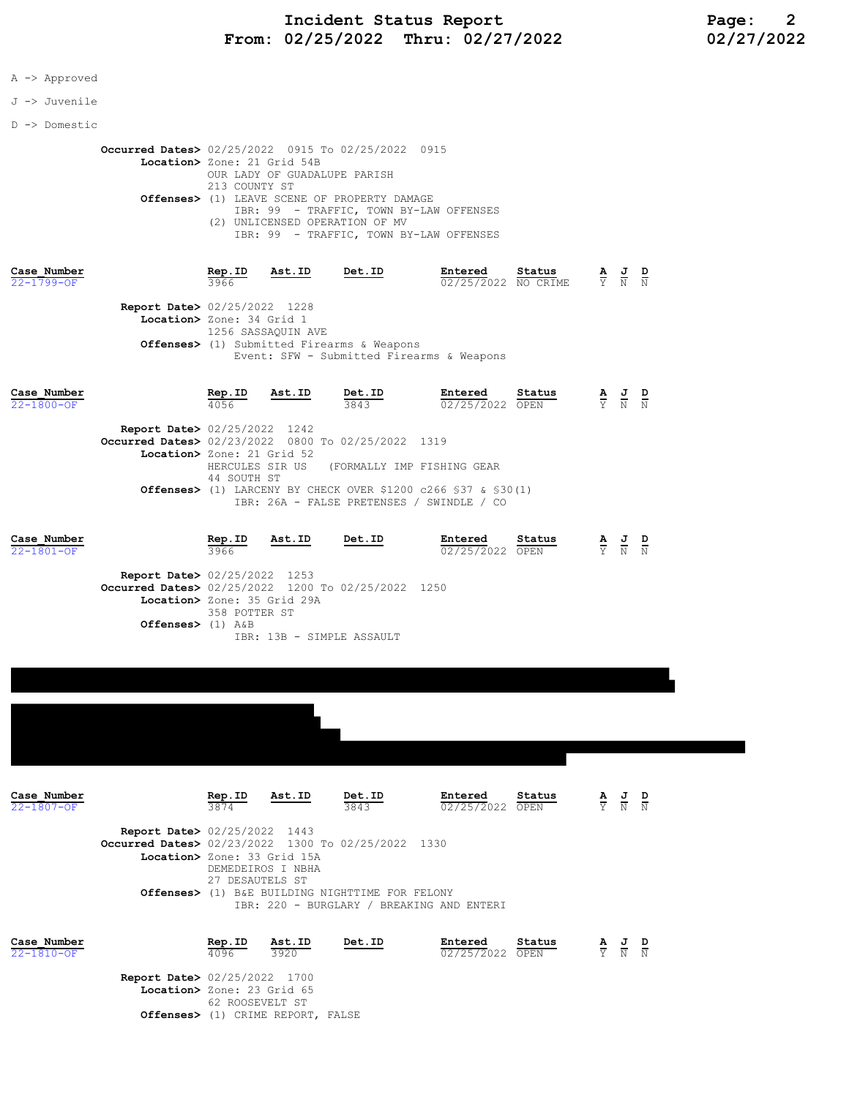#### A -> Approved

#### J -> Juvenile

D -> Domestic

 Occurred Dates> 02/25/2022 0915 To 02/25/2022 0915 Location> Zone: 21 Grid 54B OUR LADY OF GUADALUPE PARISH 213 COUNTY ST Offenses> (1) LEAVE SCENE OF PROPERTY DAMAGE IBR: 99 - TRAFFIC, TOWN BY-LAW OFFENSES (2) UNLICENSED OPERATION OF MV IBR: 99 - TRAFFIC, TOWN BY-LAW OFFENSES

| Case Number<br>$22 - 1799 - OF$                                           | Rep.ID<br>3966            | Ast.ID             | Det.ID                                               | Entered<br>02/25/2022 NO CRIME            | Status | $\frac{\mathbf{A}}{\mathbf{Y}}$ $\frac{\mathbf{J}}{\mathbf{N}}$                                 | D<br>$\mathbb N$ |
|---------------------------------------------------------------------------|---------------------------|--------------------|------------------------------------------------------|-------------------------------------------|--------|-------------------------------------------------------------------------------------------------|------------------|
| <b>Report Date&gt; 02/25/2022 1228</b>                                    | Location> Zone: 34 Grid 1 | 1256 SASSAQUIN AVE | <b>Offenses&gt;</b> (1) Submitted Firearms & Weapons | Event: SFW - Submitted Firearms & Weapons |        |                                                                                                 |                  |
| Case Number<br>$22 - 1800 - OF$<br><b>Report Date&gt; 02/25/2022</b> 1242 | Rep.ID<br>4056            | Ast.ID             | Det.ID<br>3843                                       | Entered<br>02/25/2022 OPEN                | Status | $\frac{\mathbf{A}}{\mathbf{Y}}$ $\frac{\mathbf{J}}{\mathbf{N}}$ $\frac{\mathbf{D}}{\mathbf{N}}$ |                  |

| <b>Occurred Dates&gt;</b> 02/23/2022 0800 To 02/25/2022 1319             |
|--------------------------------------------------------------------------|
| Location> Zone: 21 Grid 52                                               |
| HERCULES SIR US (FORMALLY IMP FISHING GEAR                               |
| 44 SOUTH ST                                                              |
| <b>Offenses&gt;</b> (1) LARCENY BY CHECK OVER \$1200 c266 \$37 & \$30(1) |
| IBR: 26A - FALSE PRETENSES / SWINDLE / CO                                |

| Case Number      | Rep.ID                                             | Ast.ID | Det.ID                    | Entered         | Status | A | JD  |             |
|------------------|----------------------------------------------------|--------|---------------------------|-----------------|--------|---|-----|-------------|
| $22 - 1801 - OF$ | 3966                                               |        |                           | 02/25/2022 OPEN |        |   | Y N | $\mathbb N$ |
|                  | <b>Report Date&gt; 02/25/2022 1253</b>             |        |                           |                 |        |   |     |             |
|                  | Occurred Dates> 02/25/2022 1200 To 02/25/2022 1250 |        |                           |                 |        |   |     |             |
|                  | Location> Zone: 35 Grid 29A                        |        |                           |                 |        |   |     |             |
|                  | 358 POTTER ST                                      |        |                           |                 |        |   |     |             |
|                  | Offenses> $(1)$ A&B                                |        |                           |                 |        |   |     |             |
|                  |                                                    |        | IBR: 13B - SIMPLE ASSAULT |                 |        |   |     |             |
|                  |                                                    |        |                           |                 |        |   |     |             |
|                  |                                                    |        |                           |                 |        |   |     |             |



IBR: 220 - BURGLARY / BREAKING AND ENTERI

| Case Number |                                        | Rep.ID | Ast.ID                            | Det.ID | Entered         | Status | <u>AJD</u> |  |
|-------------|----------------------------------------|--------|-----------------------------------|--------|-----------------|--------|------------|--|
| 22-1810-OF  |                                        | 4096   | 3920                              |        | 02/25/2022 OPEN |        | Y N N      |  |
|             | <b>Report Date&gt; 02/25/2022 1700</b> |        |                                   |        |                 |        |            |  |
|             | Location> Zone: 23 Grid 65             |        |                                   |        |                 |        |            |  |
|             |                                        |        | 62 ROOSEVELT ST                   |        |                 |        |            |  |
|             |                                        |        | Offenses> (1) CRIME REPORT, FALSE |        |                 |        |            |  |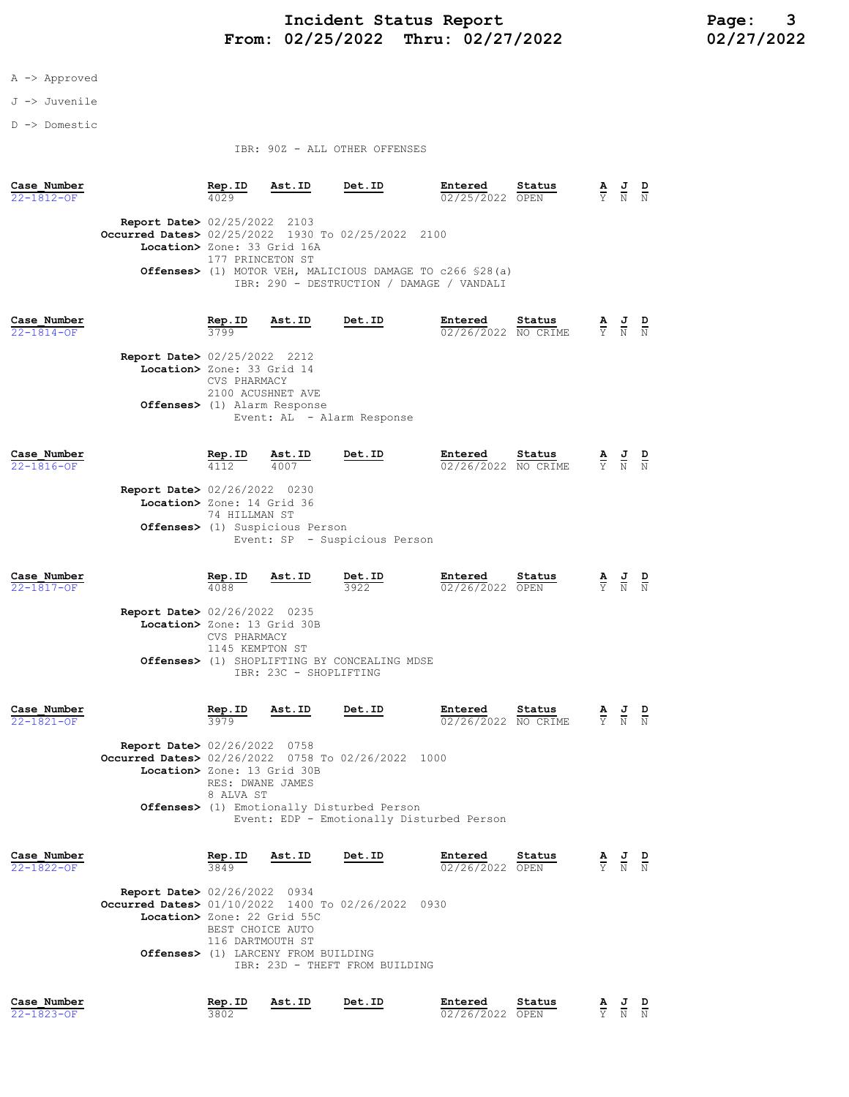## Incident Status Report<br>02/25/2022 Thru: 02/27/2022 12/2022 02/27/2022 From: 02/25/2022 Thru: 02/27/2022

### A -> Approved

- J -> Juvenile
- D -> Domestic

#### IBR: 90Z - ALL OTHER OFFENSES

| Case Number<br>22-1812-OF       |                                                                                                                             | Rep.ID<br>4029                                         | Ast.ID                                            | Det.ID                                                                                                           | Entered<br>02/25/2022 OPEN     | Status         | $\frac{\mathbf{A}}{\mathbf{Y}}$ | $\frac{J}{N}$                                                                                   | $\frac{D}{N}$ |
|---------------------------------|-----------------------------------------------------------------------------------------------------------------------------|--------------------------------------------------------|---------------------------------------------------|------------------------------------------------------------------------------------------------------------------|--------------------------------|----------------|---------------------------------|-------------------------------------------------------------------------------------------------|---------------|
|                                 | <b>Report Date&gt;</b> 02/25/2022 2103<br>Occurred Dates> 02/25/2022 1930 To 02/25/2022 2100<br>Location> Zone: 33 Grid 16A | 177 PRINCETON ST                                       |                                                   | <b>Offenses&gt;</b> (1) MOTOR VEH, MALICIOUS DAMAGE TO c266 \$28(a)<br>IBR: 290 - DESTRUCTION / DAMAGE / VANDALI |                                |                |                                 |                                                                                                 |               |
| Case Number<br>$22 - 1814 - OF$ | <b>Report Date&gt;</b> 02/25/2022 2212<br>Location> Zone: 33 Grid 14<br>Offenses> (1) Alarm Response                        | Rep.ID<br>3799<br>CVS PHARMACY<br>2100 ACUSHNET AVE    | Ast.ID                                            | Det.ID<br>Event: AL - Alarm Response                                                                             | Entered<br>02/26/2022 NO CRIME | Status         |                                 | $\frac{\mathbf{A}}{\mathbf{Y}}$ $\frac{\mathbf{J}}{\mathbf{N}}$ $\frac{\mathbf{D}}{\mathbf{N}}$ |               |
| Case Number<br>22-1816-OF       | <b>Report Date&gt; 02/26/2022 0230</b><br>Location> Zone: 14 Grid 36                                                        | $\frac{\text{Rep. ID}}{4112}$<br>74 HILLMAN ST         | Ast.ID<br>4007<br>Offenses> (1) Suspicious Person | Det.ID<br>Event: SP - Suspicious Person                                                                          | Entered<br>02/26/2022 NO CRIME | Status         |                                 | $\frac{\mathbf{A}}{\mathbf{Y}}$ $\frac{\mathbf{J}}{\mathbf{N}}$ $\frac{\mathbf{D}}{\mathbf{N}}$ |               |
| Case Number<br>$22 - 1817 - OF$ | Report Date> 02/26/2022 0235<br>Location> Zone: 13 Grid 30B                                                                 | Rep.ID<br>4088<br>CVS PHARMACY<br>1145 KEMPTON ST      | Ast.ID<br>IBR: 23C - SHOPLIFTING                  | Det.ID<br>3922<br><b>Offenses&gt;</b> (1) SHOPLIFTING BY CONCEALING MDSE                                         | Entered<br>02/26/2022 OPEN     | Status         | $\frac{\mathbf{A}}{\mathrm{Y}}$ | $\frac{1}{N}$                                                                                   |               |
| Case Number<br>22-1821-OF       | Report Date> 02/26/2022 0758<br>Occurred Dates> 02/26/2022 0758 To 02/26/2022 1000<br>Location> Zone: 13 Grid 30B           | Rep.ID<br>3979<br>RES: DWANE JAMES<br>8 ALVA ST        | Ast.ID                                            | Det.ID<br><b>Offenses&gt;</b> (1) Emotionally Disturbed Person<br>Event: EDP - Emotionally Disturbed Person      | Entered<br>02/26/2022 NO CRIME | Status         | $\frac{\mathbf{A}}{\mathbf{Y}}$ | $\frac{J}{N}$                                                                                   |               |
| Case Number<br>22-1822-OF       | <b>Report Date&gt;</b> 02/26/2022 0934<br>Occurred Dates> 01/10/2022 1400 To 02/26/2022 0930<br>Location> Zone: 22 Grid 55C | Rep.ID<br>3849<br>BEST CHOICE AUTO<br>116 DARTMOUTH ST | Ast.ID<br>Offenses> (1) LARCENY FROM BUILDING     | Det.ID<br>IBR: 23D - THEFT FROM BUILDING                                                                         | Entered<br>02/26/2022          | Status<br>OPEN | $\frac{\mathbf{A}}{\mathbf{Y}}$ | $\frac{J}{N}$                                                                                   | $\frac{D}{N}$ |
| Case Number<br>22-1823-OF       |                                                                                                                             | Rep.ID<br>3802                                         | Ast.ID                                            | Det.ID                                                                                                           | Entered<br>02/26/2022 OPEN     | Status         |                                 | $\frac{J}{N}$                                                                                   | $\frac{D}{N}$ |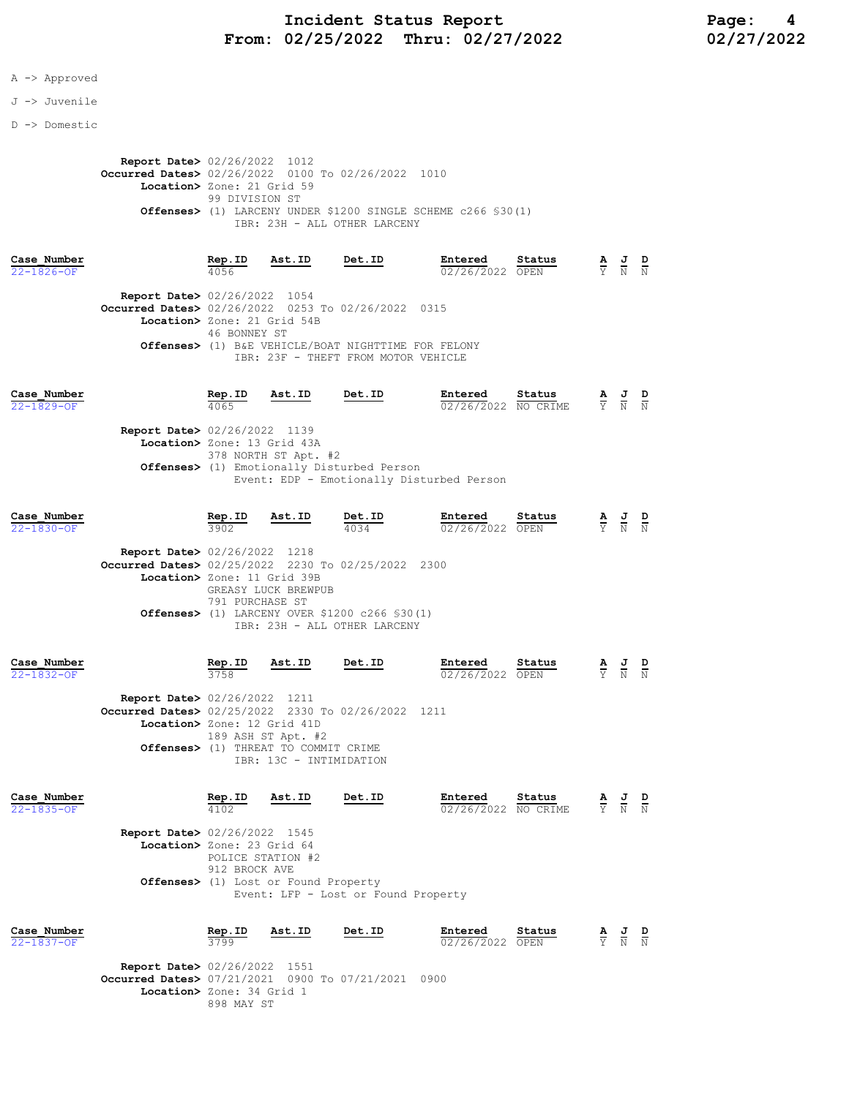## Incident Status Report<br>02/25/2022 Thru: 02/27/2022 12/2022 02/27/2022 From:  $02/25/2022$  Thru:  $02/27/2022$

#### A -> Approved

#### J -> Juvenile

#### D -> Domestic

Report Date> 02/26/2022 1012 **Occurred Dates>** 02/26/2022 0100 To 02/26/2022 1010 Location> Zone: 21 Grid 59 99 DIVISION ST Offenses> (1) LARCENY UNDER \$1200 SINGLE SCHEME c266 §30(1) IBR: 23H - ALL OTHER LARCENY

| Case Number      |                                                              | Rep.ID       | Ast.ID | Det.ID                                              | Entered         | Status | $\mathbf{A}$ | 프     | D |
|------------------|--------------------------------------------------------------|--------------|--------|-----------------------------------------------------|-----------------|--------|--------------|-------|---|
| $22 - 1826 - 0F$ |                                                              | 4056         |        |                                                     | 02/26/2022 OPEN |        |              | Y N N |   |
|                  | <b>Report Date&gt; 02/26/2022 1054</b>                       |              |        |                                                     |                 |        |              |       |   |
|                  | <b>Occurred Dates&gt;</b> 02/26/2022 0253 To 02/26/2022 0315 |              |        |                                                     |                 |        |              |       |   |
|                  | Location> Zone: 21 Grid 54B                                  |              |        |                                                     |                 |        |              |       |   |
|                  |                                                              | 46 BONNEY ST |        |                                                     |                 |        |              |       |   |
|                  |                                                              |              |        | Offenses> (1) B&E VEHICLE/BOAT NIGHTTIME FOR FELONY |                 |        |              |       |   |
|                  |                                                              |              |        | IBR: 23F - THEFT FROM MOTOR VEHICLE                 |                 |        |              |       |   |
|                  |                                                              |              |        |                                                     |                 |        |              |       |   |

| Case Number<br>$22 - 1829 - OF$        | Rep.ID<br>4065 | Ast.ID                                                                                            | Det.ID                                    |  | Entered | Status<br>02/26/2022 NO CRIME |  |  | $\frac{\mathbf{A}}{\mathbf{Y}}$ $\frac{\mathbf{J}}{\mathbf{N}}$ $\frac{\mathbf{D}}{\mathbf{N}}$ |  |
|----------------------------------------|----------------|---------------------------------------------------------------------------------------------------|-------------------------------------------|--|---------|-------------------------------|--|--|-------------------------------------------------------------------------------------------------|--|
| <b>Report Date&gt; 02/26/2022 1139</b> |                |                                                                                                   |                                           |  |         |                               |  |  |                                                                                                 |  |
|                                        |                | Location> Zone: 13 Grid 43A<br>378 NORTH ST Apt. #2<br>Offenses> (1) Emotionally Disturbed Person |                                           |  |         |                               |  |  |                                                                                                 |  |
|                                        |                |                                                                                                   | Event: EDP - Emotionally Disturbed Person |  |         |                               |  |  |                                                                                                 |  |

| Case Number      |                                                    | Rep.ID          | Ast.ID              | Det.ID                                                                                     | Entered         | Status | А | J | D |
|------------------|----------------------------------------------------|-----------------|---------------------|--------------------------------------------------------------------------------------------|-----------------|--------|---|---|---|
| $22 - 1830 - OF$ |                                                    | 3902            |                     | 4034                                                                                       | 02/26/2022 OPEN |        | Y | N | N |
|                  | <b>Report Date&gt; 02/26/2022 1218</b>             |                 |                     |                                                                                            |                 |        |   |   |   |
|                  | Occurred Dates> 02/25/2022 2230 To 02/25/2022 2300 |                 |                     |                                                                                            |                 |        |   |   |   |
|                  | Location> Zone: 11 Grid 39B                        |                 |                     |                                                                                            |                 |        |   |   |   |
|                  |                                                    | 791 PURCHASE ST | GREASY LUCK BREWPUB | <b>Offenses&gt;</b> (1) LARCENY OVER \$1200 $c266$ \$30(1)<br>IBR: 23H - ALL OTHER LARCENY |                 |        |   |   |   |
|                  |                                                    |                 |                     |                                                                                            |                 |        |   |   |   |

| Case Number      |                                                    | Rep.ID        | Ast.ID                                         | Det.ID | Entered         | Status | $\overline{A}$ | 프      | D |
|------------------|----------------------------------------------------|---------------|------------------------------------------------|--------|-----------------|--------|----------------|--------|---|
| $22 - 1832 - OF$ |                                                    | 3758          |                                                |        | 02/26/2022 OPEN |        |                | Y N    | N |
|                  |                                                    |               |                                                |        |                 |        |                |        |   |
|                  | <b>Report Date&gt; 02/26/2022</b> 1211             |               |                                                |        |                 |        |                |        |   |
|                  | Occurred Dates> 02/25/2022 2330 To 02/26/2022 1211 |               |                                                |        |                 |        |                |        |   |
|                  | Location> Zone: 12 Grid 41D                        |               |                                                |        |                 |        |                |        |   |
|                  |                                                    |               | 189 ASH ST Apt. #2                             |        |                 |        |                |        |   |
|                  |                                                    |               | <b>Offenses&gt;</b> (1) THREAT TO COMMIT CRIME |        |                 |        |                |        |   |
|                  |                                                    |               | IBR: 13C - INTIMIDATION                        |        |                 |        |                |        |   |
|                  |                                                    |               |                                                |        |                 |        |                |        |   |
| Case Number      |                                                    | <b>Ban TD</b> | Aet TD                                         | חד +⊾ת | <b>Entered</b>  | Statue |                | ח ד. ב |   |

| Case Number<br>$22 - 1835 - OF$ |                                        | Rep.ID<br>4102 | Ast.ID                                         | Det.ID                              | Entered<br>02/26/2022 NO CRIME | Status | $\frac{\mathbf{A}}{\mathrm{Y}}$ | 프<br>N | D<br>N |
|---------------------------------|----------------------------------------|----------------|------------------------------------------------|-------------------------------------|--------------------------------|--------|---------------------------------|--------|--------|
|                                 | <b>Report Date&gt; 02/26/2022 1545</b> |                |                                                |                                     |                                |        |                                 |        |        |
|                                 | Location> Zone: 23 Grid 64             |                |                                                |                                     |                                |        |                                 |        |        |
|                                 |                                        |                | POLICE STATION #2                              |                                     |                                |        |                                 |        |        |
|                                 |                                        | 912 BROCK AVE  |                                                |                                     |                                |        |                                 |        |        |
|                                 |                                        |                | <b>Offenses&gt;</b> (1) Lost or Found Property |                                     |                                |        |                                 |        |        |
|                                 |                                        |                |                                                | Event: LFP - Lost or Found Property |                                |        |                                 |        |        |
|                                 |                                        |                |                                                |                                     |                                |        |                                 |        |        |
| Case Number                     |                                        | Rep.ID         | Ast.ID                                         | Det.ID                              | Entered                        | Status | <u>A</u>                        | 프      | D      |
| $22 - 1837 - OF$                |                                        | 3799           |                                                |                                     | 02/26/2022                     | OPEN   | Y                               | N      | N      |

Report Date> 02/26/2022 1551 Occurred Dates> 07/21/2021 0900 To 07/21/2021 0900 Location> Zone: 34 Grid 1 898 MAY ST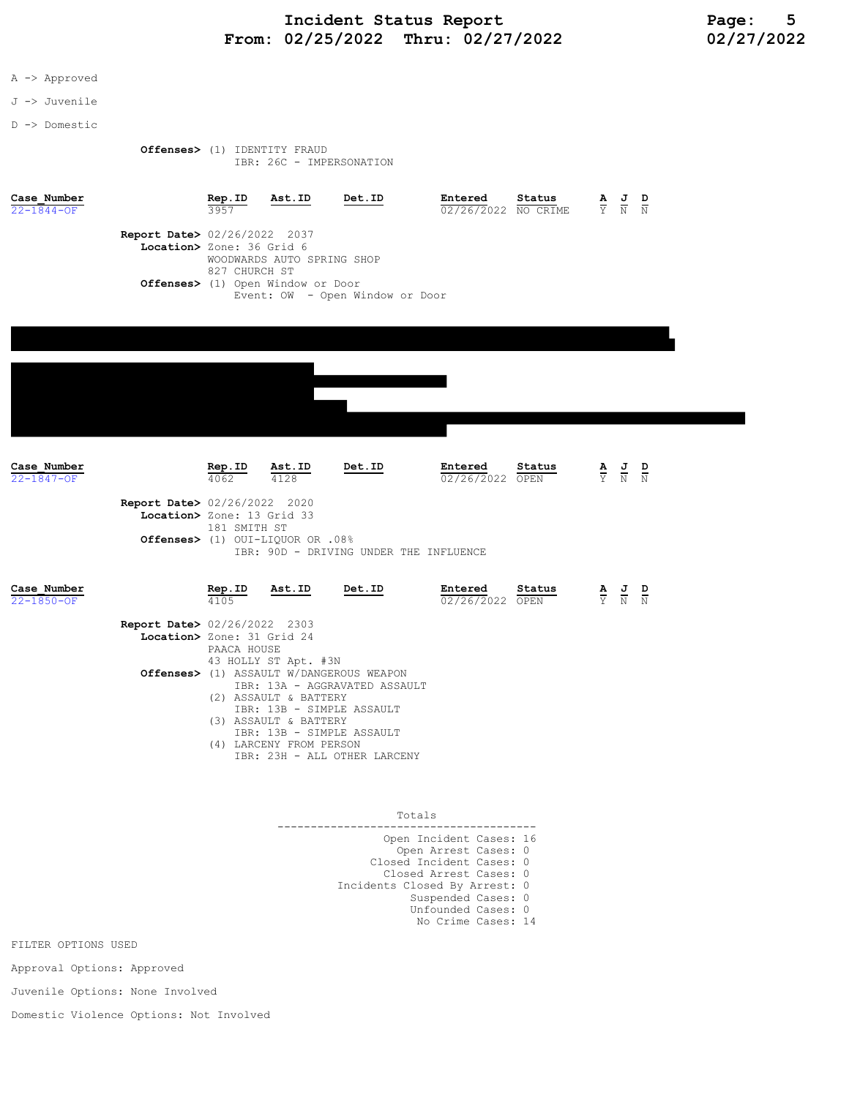## Incident Status Report<br>02/25/2022 Thru: 02/27/2022 12/2022 02/27/2022 From:  $02/25/2022$  Thru:  $02/27/2022$

- A -> Approved
- J -> Juvenile
- D -> Domestic

 Offenses> (1) IDENTITY FRAUD IBR: 26C - IMPERSONATION

| Case Number<br>$22 - 1844 - OF$                                     | Rep.ID<br>3957 | Ast.ID                     | Det.ID                          | Entered<br>02/26/2022 NO CRIME | Status | $\frac{\mathbf{A}}{\Upsilon}$ | $\frac{1}{N}$ $\frac{N}{N}$ |  |
|---------------------------------------------------------------------|----------------|----------------------------|---------------------------------|--------------------------------|--------|-------------------------------|-----------------------------|--|
| <b>Report Date&gt; 02/26/2022 2037</b><br>Location> Zone: 36 Grid 6 |                |                            |                                 |                                |        |                               |                             |  |
| Offenses> (1) Open Window or Door                                   | 827 CHURCH ST  | WOODWARDS AUTO SPRING SHOP |                                 |                                |        |                               |                             |  |
|                                                                     |                |                            | Event: OW - Open Window or Door |                                |        |                               |                             |  |
|                                                                     |                |                            |                                 |                                |        |                               |                             |  |
|                                                                     |                |                            |                                 |                                |        |                               |                             |  |

| Case Number<br>22-1847-OF       |                                                                      | Rep.ID Ast.ID<br>4062 | 4128                                                                      | Det.ID                                                                                 | Entered<br>02/26/2022 OPEN | Status | $\frac{\mathbf{A}}{\mathbf{Y}}$ | $\frac{1}{N}$ $\frac{D}{N}$ |  |
|---------------------------------|----------------------------------------------------------------------|-----------------------|---------------------------------------------------------------------------|----------------------------------------------------------------------------------------|----------------------------|--------|---------------------------------|-----------------------------|--|
|                                 | <b>Report Date&gt; 02/26/2022 2020</b><br>Location> Zone: 13 Grid 33 | 181 SMITH ST          | 0ffenses> (1) OUI-LIQUOR OR .08%                                          | IBR: 90D - DRIVING UNDER THE INFLUENCE                                                 |                            |        |                                 |                             |  |
| Case Number<br>$22 - 1850 - OF$ |                                                                      | Rep.ID<br>4105        | Ast.ID                                                                    | Det.ID                                                                                 | Entered<br>02/26/2022 OPEN | Status | $\frac{\mathbf{A}}{\mathbf{Y}}$ | $\frac{J}{N}$ $\frac{D}{N}$ |  |
|                                 | <b>Report Date&gt; 02/26/2022 2303</b><br>Location> Zone: 31 Grid 24 | PAACA HOUSE           | 43 HOLLY ST Apt. #3N                                                      | Offenses> (1) ASSAULT W/DANGEROUS WEAPON<br>IBR: 13A - AGGRAVATED ASSAULT              |                            |        |                                 |                             |  |
|                                 |                                                                      |                       | (2) ASSAULT & BATTERY<br>(3) ASSAULT & BATTERY<br>(4) LARCENY FROM PERSON | IBR: 13B - SIMPLE ASSAULT<br>IBR: 13B - SIMPLE ASSAULT<br>IBR: 23H - ALL OTHER LARCENY |                            |        |                                 |                             |  |

Totals

 --------------------------------------- Open Incident Cases: 16 Open Arrest Cases: 0 Closed Incident Cases: 0 Closed Arrest Cases: 0 Incidents Closed By Arrest: 0 Suspended Cases: 0 Unfounded Cases: 0 No Crime Cases: 14

FILTER OPTIONS USED

Approval Options: Approved

Juvenile Options: None Involved

Domestic Violence Options: Not Involved